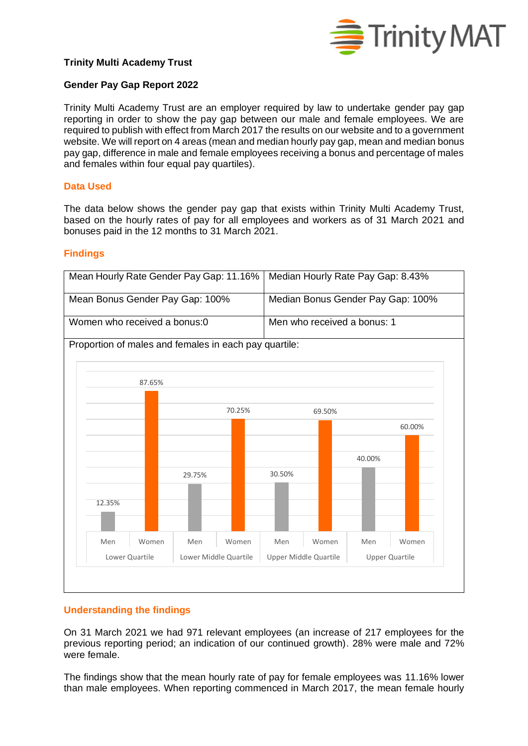

### **Trinity Multi Academy Trust**

### **Gender Pay Gap Report 2022**

Trinity Multi Academy Trust are an employer required by law to undertake gender pay gap reporting in order to show the pay gap between our male and female employees. We are required to publish with effect from March 2017 the results on our website and to a government website. We will report on 4 areas (mean and median hourly pay gap, mean and median bonus pay gap, difference in male and female employees receiving a bonus and percentage of males and females within four equal pay quartiles).

#### **Data Used**

The data below shows the gender pay gap that exists within Trinity Multi Academy Trust, based on the hourly rates of pay for all employees and workers as of 31 March 2021 and bonuses paid in the 12 months to 31 March 2021.

### **Findings**



# **Understanding the findings**

On 31 March 2021 we had 971 relevant employees (an increase of 217 employees for the previous reporting period; an indication of our continued growth). 28% were male and 72% were female.

The findings show that the mean hourly rate of pay for female employees was 11.16% lower than male employees. When reporting commenced in March 2017, the mean female hourly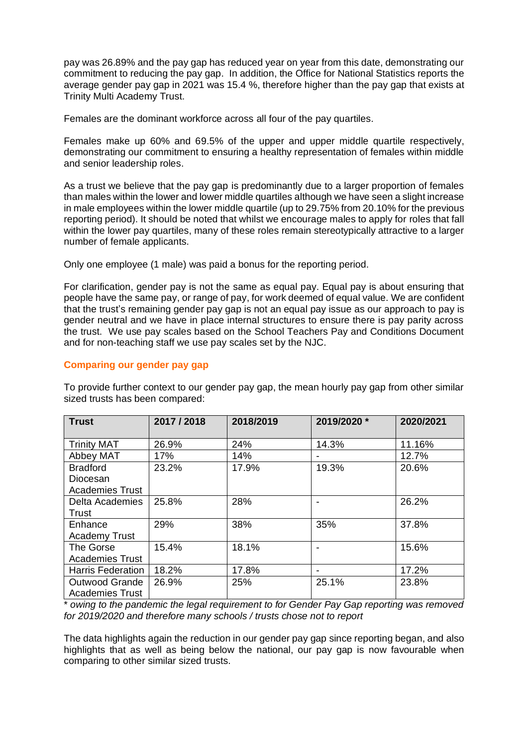pay was 26.89% and the pay gap has reduced year on year from this date, demonstrating our commitment to reducing the pay gap. In addition, the Office for National Statistics reports the average gender pay gap in 2021 was 15.4 %, therefore higher than the pay gap that exists at Trinity Multi Academy Trust.

Females are the dominant workforce across all four of the pay quartiles.

Females make up 60% and 69.5% of the upper and upper middle quartile respectively, demonstrating our commitment to ensuring a healthy representation of females within middle and senior leadership roles.

As a trust we believe that the pay gap is predominantly due to a larger proportion of females than males within the lower and lower middle quartiles although we have seen a slight increase in male employees within the lower middle quartile (up to 29.75% from 20.10% for the previous reporting period). It should be noted that whilst we encourage males to apply for roles that fall within the lower pay quartiles, many of these roles remain stereotypically attractive to a larger number of female applicants.

Only one employee (1 male) was paid a bonus for the reporting period.

For clarification, gender pay is not the same as equal pay. Equal pay is about ensuring that people have the same pay, or range of pay, for work deemed of equal value. We are confident that the trust's remaining gender pay gap is not an equal pay issue as our approach to pay is gender neutral and we have in place internal structures to ensure there is pay parity across the trust. We use pay scales based on the School Teachers Pay and Conditions Document and for non-teaching staff we use pay scales set by the NJC.

# **Comparing our gender pay gap**

| <b>Trust</b>                                          | 2017 / 2018 | 2018/2019 | 2019/2020 * | 2020/2021 |
|-------------------------------------------------------|-------------|-----------|-------------|-----------|
| <b>Trinity MAT</b>                                    | 26.9%       | 24%       | 14.3%       | 11.16%    |
| Abbey MAT                                             | 17%         | 14%       |             | 12.7%     |
| <b>Bradford</b><br>Diocesan<br><b>Academies Trust</b> | 23.2%       | 17.9%     | 19.3%       | 20.6%     |
| Delta Academies<br>Trust                              | 25.8%       | 28%       |             | 26.2%     |
| Enhance<br><b>Academy Trust</b>                       | 29%         | 38%       | 35%         | 37.8%     |
| The Gorse<br><b>Academies Trust</b>                   | 15.4%       | 18.1%     |             | 15.6%     |
| <b>Harris Federation</b>                              | 18.2%       | 17.8%     | -           | 17.2%     |
| Outwood Grande<br><b>Academies Trust</b>              | 26.9%       | 25%       | 25.1%       | 23.8%     |

To provide further context to our gender pay gap, the mean hourly pay gap from other similar sized trusts has been compared:

\* *owing to the pandemic the legal requirement to for Gender Pay Gap reporting was removed for 2019/2020 and therefore many schools / trusts chose not to report*

The data highlights again the reduction in our gender pay gap since reporting began, and also highlights that as well as being below the national, our pay gap is now favourable when comparing to other similar sized trusts.